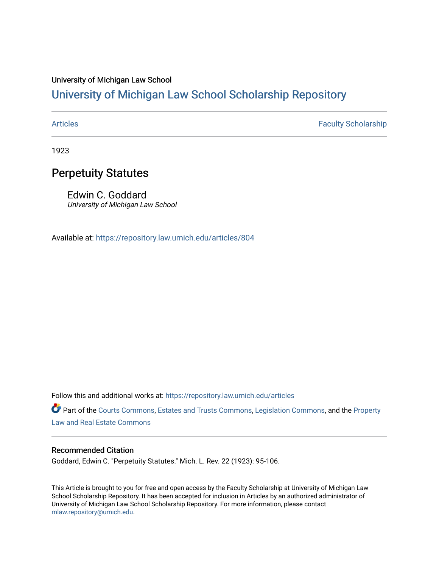### University of Michigan Law School

## [University of Michigan Law School Scholarship Repository](https://repository.law.umich.edu/)

[Articles](https://repository.law.umich.edu/articles) **Faculty Scholarship** 

1923

# Perpetuity Statutes

Edwin C. Goddard University of Michigan Law School

Available at: <https://repository.law.umich.edu/articles/804>

Follow this and additional works at: [https://repository.law.umich.edu/articles](https://repository.law.umich.edu/articles?utm_source=repository.law.umich.edu%2Farticles%2F804&utm_medium=PDF&utm_campaign=PDFCoverPages) 

Part of the [Courts Commons,](http://network.bepress.com/hgg/discipline/839?utm_source=repository.law.umich.edu%2Farticles%2F804&utm_medium=PDF&utm_campaign=PDFCoverPages) [Estates and Trusts Commons,](http://network.bepress.com/hgg/discipline/906?utm_source=repository.law.umich.edu%2Farticles%2F804&utm_medium=PDF&utm_campaign=PDFCoverPages) [Legislation Commons](http://network.bepress.com/hgg/discipline/859?utm_source=repository.law.umich.edu%2Farticles%2F804&utm_medium=PDF&utm_campaign=PDFCoverPages), and the [Property](http://network.bepress.com/hgg/discipline/897?utm_source=repository.law.umich.edu%2Farticles%2F804&utm_medium=PDF&utm_campaign=PDFCoverPages) [Law and Real Estate Commons](http://network.bepress.com/hgg/discipline/897?utm_source=repository.law.umich.edu%2Farticles%2F804&utm_medium=PDF&utm_campaign=PDFCoverPages)

### Recommended Citation

Goddard, Edwin C. "Perpetuity Statutes." Mich. L. Rev. 22 (1923): 95-106.

This Article is brought to you for free and open access by the Faculty Scholarship at University of Michigan Law School Scholarship Repository. It has been accepted for inclusion in Articles by an authorized administrator of University of Michigan Law School Scholarship Repository. For more information, please contact [mlaw.repository@umich.edu.](mailto:mlaw.repository@umich.edu)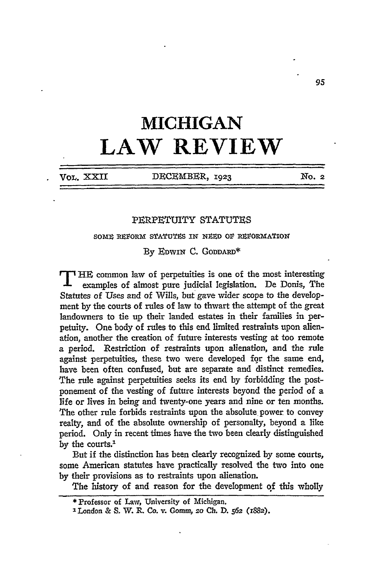# **MICHIGAN LAW REVIEW**

VOL. XXNI DECEMBER, **1923** No. **2**

### PERPETUITY STATUTES

### SOME REFORM STATUTES IN NEED OF REFORMATION

By EDWIN C. GODDARD\*

**T HE** common law of perpetuities is one of the most interesting examples of almost pure judicial legislation. De Donis, The Statutes of Uses and of Wills, but gave wider scope to the development **by** the courts of rules of law to thwart the attempt of the great landowners to tie up their landed estates in their families in perpetuity. One body of rules to this end limited restraints upon alienation, another the creation of future interests vesting at too remote a period. Restriction of restraints upon alienation, and the rule against perpetuities, these two were developed for the same end, have been often confused, but are separate and distinct remedies. The rule against perpetuities seeks its end by forbidding the postponement of the vesting of future interests beyond the period of a life or lives in being and twenty-one years and nine or ten months. The other rule forbids restraints upon the absolute power to convey realty, and of the absolute ownership of personalty, beyond a like period. Only in recent times have the two been clearly distinguished by the courts.<sup>1</sup>

But if the distinction has been dearly recognized **by** some courts, some American statutes have practically resolved the two into one **by** their provisions as to restraints upon alienation.

The history of and reason for the development **of** this wholly

<sup>\*</sup> Professor of Law, University of Michigan.

**<sup>1</sup>** London & **S.** W. R. Co. v. *Gomm,* **2o Ch.** D. **562** *(z88-).*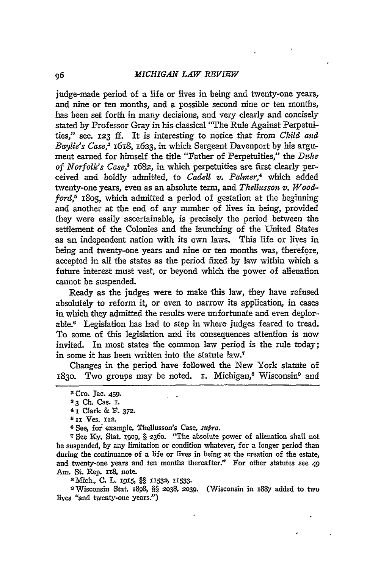judge-made period of a life or lives in being and twenty-one years, and nine or ten months, and a possible second nine or ten months, has been set forth in many decisions, and very clearly and concisely stated **by** Professor Gray in his classical "The Rule Against Perpetuities," sec. **123 ff.** It is interesting to notice that from *Child and* Baylie's Case,<sup>2</sup> 1618, 1623, in which Sergeant Davenport by his argument earned for himself the title "Father of Perpetuities," the *Duke* of Norfolk's Case,<sup>3</sup> 1682, in which perpetuities are first clearly perceived and boldly admitted, to *Cadell v. Palher,4* which added twenty-one years, even as an absolute term, and *Thellusson v. Woodford,5* **I8O5,** which admitted a period of gestation at the beginning and another at the end of any number of lives in being, provided they were easily ascertainable, is precisely the period between the settlement of the Colonies and the launching of the United States as an independent nation with its own laws. This life or lives in being and twenty-one years and nine or ten months was, therefore, accepted in all the states as the period fxed **by** law within which a future interest must vest, or beyond which the power of alienation cannot be suspended.

Ready as the judges were to make this law, they have refused absolutely to reform it, or even to narrow its application, in cases in which they admitted the results were unfortunate and even deplorable.0 Legislation has had to step in where judges feared to tread. To some of this legislation and its consequences attention is now invited. In most states the common law period is the rule today; in some it has been written into the statute law.<sup>7</sup>

Changes in the period have followed the New York statute of  $1830$ . Two groups may be noted. I. Michigan,<sup>8</sup> Wisconsin<sup>9</sup> and

**T** See **Ky.** Stat. **i909,** § 236o. "The absolute power of alienation shall not be suspended, by any limitation or condition whatever, for a longer period than during the continuance of a life or lives in being at the creation of the estate, and twenty-one years and ten months thereafter." For other statutes see 49 **Am.** St. Rep. ii8, note.

sMich., **C.** L. **19x5,** §§ **11532, 11533.**

<sup>9</sup> Wisconsin Stat. **1898**, §§ 2038, 2039. (Wisconsin in 1887 added to two lives "and twenty-one years.")

**<sup>2</sup> Cro. Jac.** 459.

**a3 Ch.** Cas. **i.**

**<sup>&#</sup>x27;x** Clark & **F. 372.**

**iI Ves. 112.**

**<sup>6</sup>** See, foi example, Thellusson's Case, *.upra.*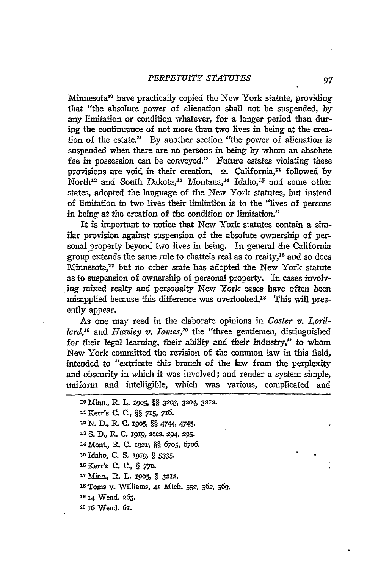Minnesota<sup>10</sup> have practically copied the New York statute, providing that "the absolute power of alienation shall not be suspended, by any limitation or condition whatever, for a longer period than during the continuance of not more than two lives in being at the creation of the estate." By another section "the power of alienation is suspended when there are no persons in being by whom an absolute fee in possession can be conveyed." Future estates violating these provisions are void in their creation. 2. California,<sup>11</sup> followed by North<sup>12</sup> and South Dakota,<sup>13</sup> Montana,<sup>14</sup> Idaho,<sup>15</sup> and some other states, adopted the language of the New York statutes, but instead of limitation to two lives their limitation is to the "lives of persons in being at the creation of the condition or limitation."

It is important to notice that New York statutes contain a similar provision against suspension of the absolute ownership of personal property beyond two lives in being. In general the California group extends the same rule to chattels real as to realty,<sup>16</sup> and so does Minnesota,<sup>17</sup> but no other state has adopted the New York statute as to suspension of ownership of personal property. In cases involv ing mixed realty and personalty New York cases have often been misapplied because this difference was overlooked.<sup>18</sup> This will presently appear.

As one may read in the elaborate opinions in *Coster v. Loril*lard,<sup>10</sup> and *Hawley v. James*,<sup>20</sup> the "three gentlemen, distinguished for their legal learning, their ability and their industry," to whom New York committed the revision of the common law in this field, intended to "extricate this branch of the law from the perplexity and obscurity in which it was involved; and render a system simple, uniform and intelligible, which was various, complicated and

**lo Minn.,** R. **L. 1905, §§ 3203, 3204,** *3212.* **"'Kerr's C. C.,** §§ **715, 711.** 22 **N. D.,** *R.* C. **i9o5,** §§ 4744, 4745. **<sup>13</sup>S. D., P. C. 1919,** secs. **294, 295.** 14 Mont., R. C. 1921; §§ 6705, 6706. D Idaho, **C.** *B. 1919,* § *5335.* **IG** Kerr's **C. C.,** § **770. 7** Minn., R. L. **1905,** § **3212. is** Toms v. Williams, **41** Mich. **552,** 562, 569. **s 914** Wend. **265. 20** 16 Wend. **6I.**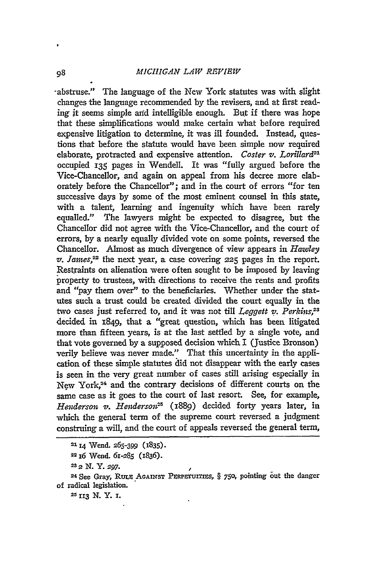-abstruse." The language of the New York statutes was with slight changes the language recommended by the revisers, and at first read*ing* **it** seems simple and intelligible enough. But if there was hope that these simplifications would make certain what before required expensive litigation to determine, it was ill founded. Instead, questions that before the statute would have been simple now required elaborate, protracted and expensive attention. *Coster v. Lorillard<sup>21</sup>* occupied 135 pages in Wendell. It was "fully argued before the Vice-Chancellor, and again on appeal from his decree more elaborately before the Chancellor"; and in the court of errors "for ten successive days by some of the most eminent counsel in this state, with a talent, learning and ingenuity which have been rarely equalled." The lawyers might be expected to disagree, but the Chancellor did not agree with the Vice-Chancellor, and the court of errors, by a nearly equally divided vote on some points, reversed the Chancellor. Almost as much divergence of view appears in *Hawley* v. *James,'2* the next year, a case covering **225** pages in the report. Restraints on alienation were often sought to be imposed by leaving property to trustees, with directions to receive the rents and profits and "pay them over" to the beneficiaries. Whether under the statutes such a trust could be created divided the court equally in the two cases just referred to, and it was not till *Leggett* **V.** *Perkins,-3* decided in i849, that a "great question, which has been litigated more than fifteen years, is at the last settled by a single vote, and that vote governed by a supposed decision which I (Justice Bronson) verily believe was never made." That this uncertainty in the application of these simple statutes did not disappear with the early cases is seen in the very great number of cases still arising especially in New York,<sup>24</sup> and the contrary decisions of different courts on the same case as it goes to the court of last resort. See, for example, *Henderson v. Henderson*<sup>25</sup> (1889) decided forty years later, in which the general term of the supreme court reversed a judgment construing a will, and the court of appeals reversed the general term,

**<sup>-114</sup>** Wend. **265-399 (1835).**

<sup>22</sup> **J6** Wend. 61-285 (1836).

**<sup>23 2</sup>** *N. Y. 2497.* **t**

<sup>&</sup>lt;sup>24</sup> See Gray, RULE AGAINST PERPETUITIES, § 750, pointing out the danger of radical legislation.

<sup>25</sup> **113 N.** Y. **I.**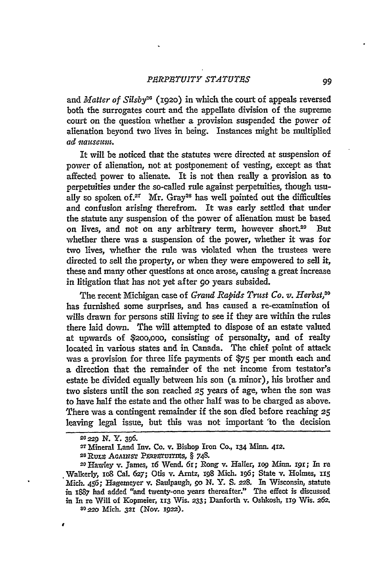### *PERPE2TUITY STATUTES*

and *Matter of Silsby*<sup>26</sup> (1920) in which the court of appeals reversed both the surrogates court and the appellate division of the supreme court on the question whether a provision suspended the power of alienation beyond two lives in being. Instances might be multiplied *ad itause tt.*

It will be noticed that the statutes were directed at suspension of power of alienation, not at postponement of vesting, except as that affected power to alienate. It is not then really a provision as to perpetuities under the so-called rule against perpetuities, though usually so spoken of.<sup>27</sup> Mr. Gray<sup>28</sup> has well pointed out the difficulties and confusion arising therefrom. It was early settled that under the statute any suspension of the power of alienation must be based on lives, and not on any arbitrary term, however short.<sup>29</sup> But whether there was a suspension of the power, whether it was for two lives, whether the rule was violated when the trustees were directed to sell the property, or when they were empowered to sell it, these and many other questions at once arose, causing a great increase in litigation that has not yet after **90** years subsided.

The recent Michigan case of *Grand Rapids Trust Co. v. Herbst,30* has furnished some surprises, and has caused a re-examination of wills drawn for persons still living to see if they are within the rules there laid down. The will attempted to dispose of an estate valued at upwards of \$200,000, consisting of personalty, and of realty located in various states and in Canada. The chief point of attack was a provision for three life payments of **\$75** per month each and a direction that the remainder of the net income from testator's estate be divided equally between his son (a minor), his brother and two sisters until the son reached **25** years of age, when the son was to have half the estate and the other half was to be charged as above. There was a contingent remainder if the son died before reaching **25** leaving legal issue, but this was not important 'to the decision

*<sup>20229</sup> N.* Y. 396.

**<sup>2</sup>T** Mineral Land Inv. **Co.** v. Bishop Iron Co., 134 Minn. 412.

<sup>&</sup>lt;sup>28</sup> RULE AGAINST PERPETUITIES, § 748.

<sup>20</sup> Hawley v. James, r6 Wend. **6r;** Rong v. Hailer, **zog** Minn. rpr; In re Walkerly, ioS Cal. **627;** Otis v. Amtz, **i98** Mich. 196; State v. Holmes, **1i5** Mich. 456; Hagemeyer v. Saulpaugh, 90 N. Y. S. 228. In Wisconsin, statute in 1887 had added "and twenty-one years thereafter." The effect is discussed in In re Will **of** Kopmeier, **113** Wis. **233;** Danforth v. Oshkosh, ig Wis. 26z. **\$0220** Mich. **321** *(Nov.* i922).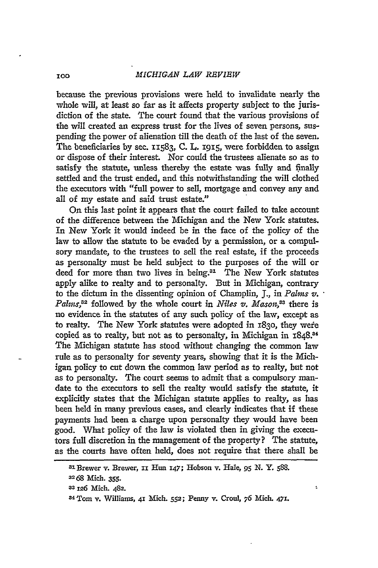because the previous provisions were held to invalidate nearly the whole will, at least so far as it affects property subject to the jurisdiction of the state. The court found that the various provisions of the will created an express trust for the lives of seven persons, suspending the power of alienation till the death of the last of the seven. The beneficiaries **by** see. 11583, **C.** L. **1915,** were forbidden to assign or dispose of their interest. Nor could the trustees alienate so as to satisfy the statute, unless thereby the estate was fully and finally settled and the trust ended, and this notwithstanding the will clothed the executors with "full power to sell, mortgage and convey any and all of my estate and said trust estate."

**On** this last point it appears that the court failed to take account of the difference between the Michigan and the New York statutes. In New York it would indeed be in the face of the policy of the law to allow the statute to be evaded **by** a permission, or a compulsory mandate, to the trustees to sell the real estate, if the proceeds as personalty must be held subject to the purposes of the will or deed for more than two lives in being.<sup>31</sup> The New York statutes apply alike to realty and to personalty. But in Michigan, contrary to the dictum in the dissenting opinion of Champlin, **J.,** in *Palms v. Palms*<sup>32</sup> followed by the whole court in *Niles v. Mason*<sup>33</sup> there is no evidence in the statutes of any such policy of the law, except as to realty. The New York statutes were adopted in i83o, they weie copied as to realty, but not as to personalty, in Michigan in 1848.<sup>34</sup> The Michigan statute has stood without changing the common law rule as to personalty for seventy years, showing that it is the Michigan policy to cut down the common law period as to realty, but not as to personalty. The court seems to admit that a compulsory mandate to the executors to sell the realty would satisfy the statute, it explicitly states that the Michigan statute applies to realty, as has been **held** in many previous cases, and clearly indicates that if these payments had been a charge upon personalty they would have been good. What policy of the law is violated then in giving the executors full discretion in the management of the property? The statute, as the courts have often held, does not require that there shall be

 $\ddot{\phantom{a}}$ 

**<sup>31</sup>** Brever v. Brewer, **I** Hun 147; Hobson v. Hale, **95** N. Y. **588.**

**<sup>32 68</sup> Mich. 355.**

**<sup>33</sup>** 126 Mich. 482.

<sup>4</sup>Tom v. Williams, **41** Mich. **552;** Penny v. Croul, **76** Mich. 471.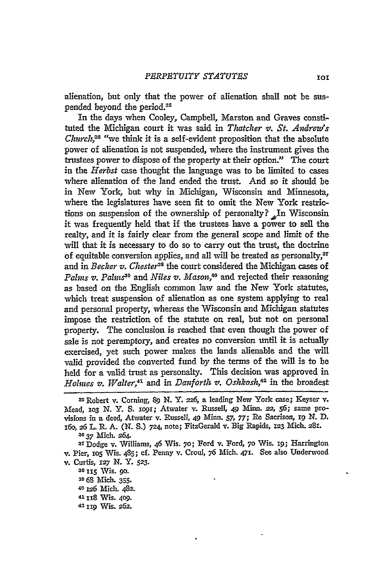alienation, but only that the power of alienation shall not be suspended beyond the period.<sup>35</sup>

In the days when Cooley, Campbell, Marston and Graves constituted the Michigan court it was said in *Tlwtcher v. St. Andrew's Church,86* "we think it is a self-evident proposition that the absolute power of alienation is not suspended, where the instrument gives the trustees power to dispose of the property at their option." The court in the *Herbst* case thought the language was to be limited to cases where alienation of the land ended the trust. And so it should be in New York, but why in Michigan, Wisconsin and Minnesota, where the legislatures have seen fit to omit the New York restrictions on suspension of the ownership of personalty?  $\int_{\mathbb{R}} \text{In Wisconsin}$ it was frequently held that if the trustees have a power to sell the realty, and it is fairly clear from the general scope and limit of the will that it is necessary to do so to carry out the trust, the doctrine of equitable conversion applies, and all will be treated as personalty,<sup>37</sup> and in *Becker v. Chester* **8** the court considered the Michigan cases of *Palms v. Palms*<sup>39</sup> and *Niles v. Mason*,<sup>40</sup> and rejected their reasoning as based on the English common law and the New York statutes, which treat suspension of alienation as one system applying to real and personal property, whereas the Wisconsin and Michigan statutes impose the restriction of the statute on real, but not on personal property. The conclusion is reached that even though the power of sale is not peremptory, and creates no conversion until it is actually exercised, yet such power makes the lands alienable and the will valid provided the converted fund **by** the terms of the will is to be held for a valid trust as personalty. This decision was approved in *Holmes v. Walter*,<sup>41</sup> and in *Danforth v. Oshkosh*,<sup>42</sup> in the broadest

**36 37** MicL *.264.*

**3T** Dodge v. Williams, 46 Wis. **70;** Ford v. Ford, **70 Wis.** ig; **Harrington** v. Pier, **1o5** Wis. 485; **cf.** Penny v. Croul, **76** Mich. **471.** See also Underwood v. Curtis, **127 N. Y. 523.**

**115 'Vis. 90.** 68 Mich. **355. 126** Mich. 482. Wis. 409. **12 119** Wis. **262.**

<sup>3</sup> Robert v. Corning, **89 N.** Y. **2.26,** a leading New York case; Keyser v. Mead, 103 N. Y. S. 1091; Atwater v. Russell, 49 Minn. 22, 56; same provisions in a deed, Atwater v. Russell, 49 Minn. **57, 77;** Re Sacrison, **19** N. **D.** i6o, **:26** L. R. A. **(N.** S.) 724, note; FitzGerald v. Big Rapids, **123** Mich. **:81.**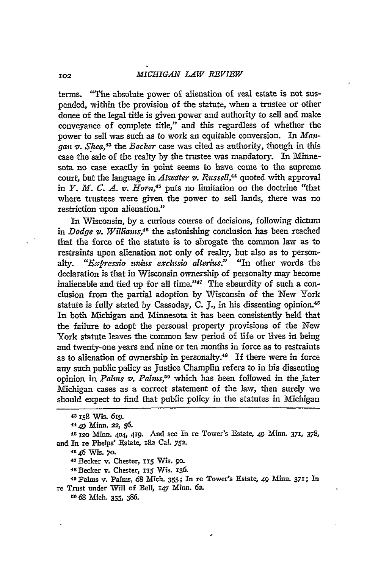terms. "The absolute power of alienation of real estate is not suspended, within the provision of the statute, when a trustee or other donee of the legal title is given power and authority to sell and make conveyance of complete title," and this regardless of whether the power to sell was such as to work an equitable conversion. In *Mangan v. Shea*,<sup>43</sup> the *Becker* case was cited as authority, though in this case the sale of the realty by the trustee was mandatory. In Minnesota no case exactly in point seems to have come to the supreme court, but the language in *Atwater v. Russell*,<sup>44</sup> quoted with approval in *Y. M. C. A. v. Horn*,<sup>45</sup> puts no limitation on the doctrine "that where trustees were given the power to sell lands, there was no restriction upon alienation."

In Wisconsin, by a curious course of decisions, following dictum in *Dodge v. Williams*,<sup>46</sup> the astonishing conclusion has been reached that the force of the statute is to abrogate the common law as to restraints upon alienation not only of realty, but also as to person*alty. "Expressio* unius *exclusio alterius."* "In other words the declaration is that in Wisconsin ownership of personalty may become inalienable and tied up for all time."<sup>47</sup> The absurdity of such a conclusion from the partial adoption by Wisconsin of the New York statute is fully stated by Cassoday, **C. J.,** in his dissenting opinion.45 In both Michigan and Minnesota it has been consistently held that the failure to adopt the personal property provisions of the New York statute leaves the common law period of life or lives in being and twenty-one years and nine or ten months in force as to restraints as to alienation of ownership in personalty.<sup>49</sup> If there were in force any such public pelicy as justice Champlin refers to in his dissenting opinion in *Palms v. Palms*,<sup>50</sup> which has been followed in the later Michigan cases as a correct statement of the law, then surely we should expect to find that public policy in the statutes in Michigan

**4646** Wis. **70.**

<sup>47</sup>Becker v. Chester, **115** Wis. **9o.**

**<sup>48</sup>**Becker v. Chester, **115** Wis. **136.**

<sup>49</sup>Palms v. Palms, 68 Mich. **355;** In re Tower's Estate, 49 Minn. **371;** In re Trust under Will of Bell, **147** Minn. **62.**

**ro 68** Mich. 355, 386.

<sup>43</sup>r58 Wis. 619.

<sup>49</sup> Minn. 22, **56.**

<sup>-</sup>A **120** Minn. **404,** 419. And see In re Tower's Estate, 49 Minn. **371,** 378, and In re Phelps' Estate, 182 Cal. **752.**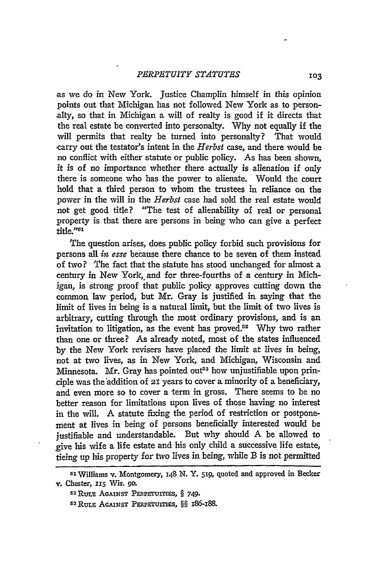### *PERPETUITY STATUTES*

as we do in New York. Justice Champlin himself in this opinion points out that Michigan has not followed New York as to personalty, so that in Michigan a will of realty is good if it directs that the real estate be converted into personalty. Why not equally if the will permits that realty be turned into personalty? That would carry out the testator's intent in the *Herbst* case, and there would be no conflict with either statute or public policy. As has been shown, it is of no importance whether there actually is alienation if only there is someone who has the power to alienate. Would the court hold that a third person to whom the trustees in reliance on the power in the will in the *Herbst* case had sold the real estate would not get good title? "The test of alienability of real or personal property is that there are persons in being who can give a perfect title."61

The question arises, does public policy forbid such provisions for persons all in *esse* because there chance to be seven of them instead of two? The fact that the statute has stood unchanged for almost a century in New York, and for three-fourths of a century in Michigan, is strong proof that public policy approves cutting down the common law period, but Mr. Gray is justified in saying that the limit of lives in being is a natural limit, but the limit of two lives is arbitrary, cutting through the most ordinary provisions, and is an invitation to litigation, as the event has proved. $52$  Why two rather than one or three? As already noted, most of the states influenced by the New York revisers have placed the limit at lives in being, not at two lives, as in New York, and Michigan, Wisconsin and Minnesota. Mr. Gray has pointed out<sup>53</sup> how unjustifiable upon principle was the addition of 21 years to cover a minority of a beneficiary, and even more so to cover a term in gross. There seems to be no better reason for limitations upon lives of those having no interest in the will. A statute fixing the period of restriction or postponenent at lives in being of persons beneficially interested would be justifiable and understandable. But why should A be allowed to give his wife a life estate and his only child a successive life estate, tieing up his property for two lives in being, while B is not permitted

**r2** Williams v. Montgomery, 148 N. Y. **519,** quoted and approved in Becker v. Chester, **U15** Wis. **90.**

<sup>&</sup>lt;sup>52</sup> RULE AGAINST PERPETUITIES, § 749.

<sup>53</sup> RULE AGAINST PERPETUITIES, §§ 186-188.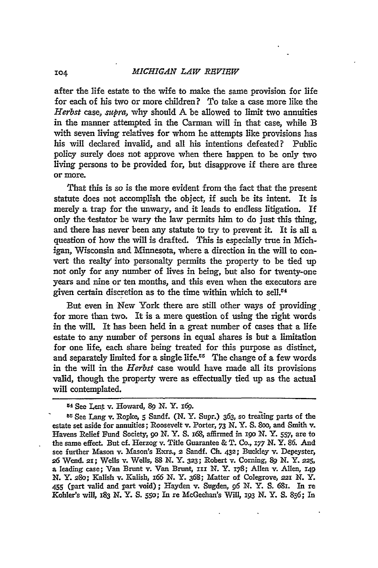after the life estate to the wife to make the same provision for life for each of his two or more children? To take a case more like the *Herbst case, supra,* why should A be allowed to limit two annuities in the manner attempted in the Carman will in that case, while B with seven living relatives for whom he attempts like provisions has his will declared invalid, and all his intentions defeated? Public policy surely does not approve when there happen to be only two living persons to be provided for, but disapprove if there are three or more.

That this is so is the more evident from the fact that the present statute does not accomplish the object, if such be its intent. It is merely a trap for the unwary, and it leads to endless litigation. If only the testator be wary the law permits him to do just this thing, and there has never been any statute to try to prevent it. It is all a question of how the will is drafted. This is especially true in Michigan, Wisconsin and Minnesota, where a direction in the will to convert the realty into personalty permits the property to be tied up not only for any number of lives in being, but also for twenty-one years and nine or ten months, and this even when the executors are given certain discretion as to the time within which to sell."

But even in New York there are still other ways of providing for more than two. It is a mere question of using the right words in the will. It has been held in a great number of cases that a life estate to any number of persons in equal shares is but a limitation for one life, each share being treated for this purpose as distinct, and separately limited for a single life.<sup>55</sup> The change of a few words in the will in the *Herbst* case would have made all its provisions valid, though the property were as effectually tied up as the actual will contemplated.

<sup>5</sup> See Lent v. Howard, *89* **N.** Y. *169.*

**<sup>5</sup>** See Lang v. RoPke, **5** Sandf. **(N.** Y. Supr.) *363,* so treating parts of the estate set aside for annuities; Roosevelt v. Porter, **73** N. Y. S. **8oo,** and Smith v. Havens Relief Fund Society, go N. Y. **S.** 168, affirmed in **I9o N.** Y. 557, are to the same effect. But cf. Herzog v. Title Guarantee & T. **Co.,** *177 N.* Y. **86.** And see further Mason v. Mason's Exrs., **2** Sandf. **Ch.** 432; Buckley v. Depeyster, **:26** Wend. **2I;** Wells v. Wells, 88 *N.* Y. **323;** Robert v. Coming, *89* **N.** Y. 225, a leading case; Van Brunt v. Van Brunt, **iii** *N.* Y. **r78;** Allen v. Allen, **<sup>149</sup>** *N.* Y. **280;** Kalish v. Kalish, 166 N. Y. 368; Matter of Colegrove, *221* **N.** Y. 455 (part valid and part void); Hayden v. Sugden, *96 N.* Y. **S.** 681. In re Kohler's will, **183 N.** Y. **S.** *s55;* In re McGeehan's Will, **193 N.** Y. *S.* 856; In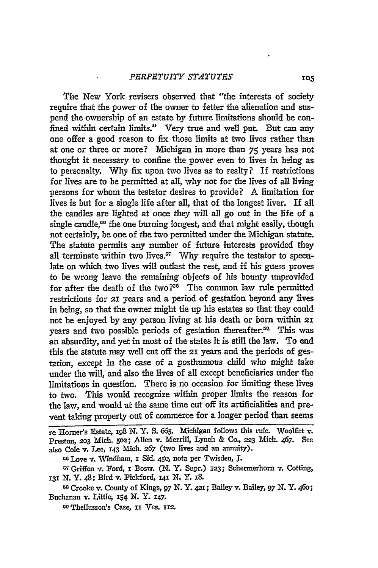The New York revisers observed that "the interests of society require that the power of the owner to fetter the alienation and suspend the ownership of an estate by future limitations should be confined within certain limits." Very true and well put. But can any one offer a good reason to fix those limits at two lives rather than at one or three or more? Michigan in more than 75 years has not thought it necessary to confine the power even to lives in being as to personalty. Why fix upon two lives as to realty? If restrictions for lives are to be permitted at all, why not for the lives of all living persons for whom the testator desires to provide? A limitation for lives is but for a single life after all, that of the longest liver. If all the candles are lighted at once they will all go out in the life of a single candle, $56$  the one burning longest, and that might easily, though not certainly, be one of the two permitted under the Michigan statute. The statute permits any number of future interests provided they all terminate within two lives.<sup>57</sup> Why require the testator to speculate on which tvo lives will outlast the rest, and if his guess proves to be wrong leave the remaining objects of his bounty unprovided for after the death of the two ?5s The common law rule permitted restrictions for 21 years and a period of gestation beyond any lives in being, so that the owner might tie up his estates so that they could not be enjoyed by any person living at his death or born within 21 years and two possible periods of gestation thereafter.<sup>52</sup> This was an absurdity, and yet in most of the states it is still the law. To end this the statute may well cut off the 21 years and the periods of gestation, except in the case of a posthumous child who might take under the will, and also the lives of all except beneficiaries under the limitations in question. There is no occasion for limiting these lives to two. This would recognize within proper limits the reason for the law, and would at the same time cut off its artificialities and prevent taking property out of commerce for a longer period than seems

re Homer's Estate, **x98** N. Y. *S. 665.* Michigan follows this rule. Woolfitt v. Preston, **2o3** Mich. **5o2;** Allen v. Merrill, Lynch & Co., **223** Mich. 467. See also Cole v. Lee, **143** Mich. *267* (two lives and an annuity).

t 5 G Love v. Windham, **I** Sid. 45o, nota per Twisden, **J.**

r7Griffen v. Ford, **i** Bosw. **(N.** Y. Supr.) 123; Schermerhom v. Cotting, *131 N.* **Y.** 48; Bird v. Pickford, **141** N. Y. *S.*

**<sup>68</sup>**Crooke v. County of Kings, 97 *N.* Y. 42i; Bailey v. Bailey, *97* N. Y. 460; Buchanan v. Little, **154 N. Y. x47.**

**Go** Thellusson's Case, **ii** Ves. **112.**